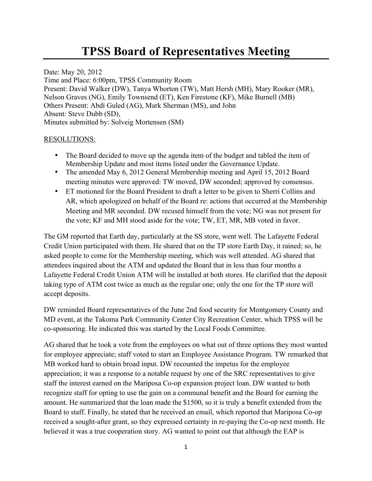## **TPSS Board of Representatives Meeting**

Date: May 20, 2012 Time and Place: 6:00pm, TPSS Community Room Present: David Walker (DW), Tanya Whorton (TW), Matt Hersh (MH), Mary Rooker (MR), Nelson Graves (NG), Emily Townsend (ET), Ken Firestone (KF), Mike Burnell (MB) Others Present: Abdi Guled (AG), Mark Sherman (MS), and John Absent: Steve Dubb (SD), Minutes submitted by: Solveig Mortensen (SM)

## RESOLUTIONS:

- The Board decided to move up the agenda item of the budget and tabled the item of Membership Update and most items listed under the Governance Update.
- The amended May 6, 2012 General Membership meeting and April 15, 2012 Board meeting minutes were approved: TW moved, DW seconded; approved by consensus.
- ET motioned for the Board President to draft a letter to be given to Sherri Collins and AR, which apologized on behalf of the Board re: actions that occurred at the Membership Meeting and MR seconded. DW recused himself from the vote; NG was not present for the vote; KF and MH stood aside for the vote; TW, ET, MR, MB voted in favor.

The GM reported that Earth day, particularly at the SS store, went well. The Lafayette Federal Credit Union participated with them. He shared that on the TP store Earth Day, it rained; so, he asked people to come for the Membership meeting, which was well attended. AG shared that attendees inquired about the ATM and updated the Board that in less than four months a Lafayette Federal Credit Union ATM will be installed at both stores. He clarified that the deposit taking type of ATM cost twice as much as the regular one; only the one for the TP store will accept deposits.

DW reminded Board representatives of the June 2nd food security for Montgomery County and MD event, at the Takoma Park Community Center City Recreation Center, which TPSS will be co-sponsoring. He indicated this was started by the Local Foods Committee.

AG shared that he took a vote from the employees on what out of three options they most wanted for employee appreciate; staff voted to start an Employee Assistance Program. TW remarked that MB worked hard to obtain broad input. DW recounted the impetus for the employee appreciation; it was a response to a notable request by one of the SRC representatives to give staff the interest earned on the Mariposa Co-op expansion project loan. DW wanted to both recognize staff for opting to use the gain on a communal benefit and the Board for earning the amount. He summarized that the loan made the \$1500, so it is truly a benefit extended from the Board to staff. Finally, he stated that he received an email, which reported that Mariposa Co-op received a sought-after grant, so they expressed certainty in re-paying the Co-op next month. He believed it was a true cooperation story. AG wanted to point out that although the EAP is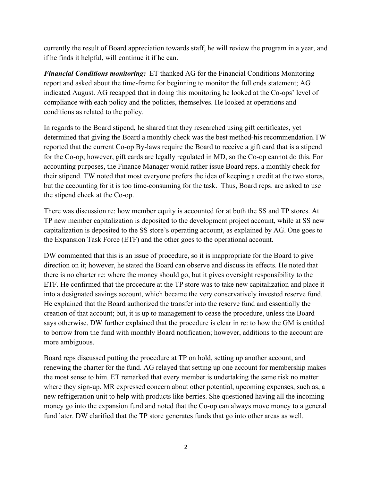currently the result of Board appreciation towards staff, he will review the program in a year, and if he finds it helpful, will continue it if he can.

*Financial Conditions monitoring:* ET thanked AG for the Financial Conditions Monitoring report and asked about the time-frame for beginning to monitor the full ends statement; AG indicated August. AG recapped that in doing this monitoring he looked at the Co-ops' level of compliance with each policy and the policies, themselves. He looked at operations and conditions as related to the policy.

In regards to the Board stipend, he shared that they researched using gift certificates, yet determined that giving the Board a monthly check was the best method-his recommendation.TW reported that the current Co-op By-laws require the Board to receive a gift card that is a stipend for the Co-op; however, gift cards are legally regulated in MD, so the Co-op cannot do this. For accounting purposes, the Finance Manager would rather issue Board reps. a monthly check for their stipend. TW noted that most everyone prefers the idea of keeping a credit at the two stores, but the accounting for it is too time-consuming for the task. Thus, Board reps. are asked to use the stipend check at the Co-op.

There was discussion re: how member equity is accounted for at both the SS and TP stores. At TP new member capitalization is deposited to the development project account, while at SS new capitalization is deposited to the SS store's operating account, as explained by AG. One goes to the Expansion Task Force (ETF) and the other goes to the operational account.

DW commented that this is an issue of procedure, so it is inappropriate for the Board to give direction on it; however, he stated the Board can observe and discuss its effects. He noted that there is no charter re: where the money should go, but it gives oversight responsibility to the ETF. He confirmed that the procedure at the TP store was to take new capitalization and place it into a designated savings account, which became the very conservatively invested reserve fund. He explained that the Board authorized the transfer into the reserve fund and essentially the creation of that account; but, it is up to management to cease the procedure, unless the Board says otherwise. DW further explained that the procedure is clear in re: to how the GM is entitled to borrow from the fund with monthly Board notification; however, additions to the account are more ambiguous.

Board reps discussed putting the procedure at TP on hold, setting up another account, and renewing the charter for the fund. AG relayed that setting up one account for membership makes the most sense to him. ET remarked that every member is undertaking the same risk no matter where they sign-up. MR expressed concern about other potential, upcoming expenses, such as, a new refrigeration unit to help with products like berries. She questioned having all the incoming money go into the expansion fund and noted that the Co-op can always move money to a general fund later. DW clarified that the TP store generates funds that go into other areas as well.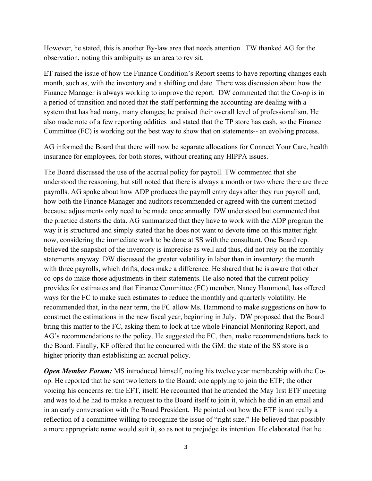However, he stated, this is another By-law area that needs attention. TW thanked AG for the observation, noting this ambiguity as an area to revisit.

ET raised the issue of how the Finance Condition's Report seems to have reporting changes each month, such as, with the inventory and a shifting end date. There was discussion about how the Finance Manager is always working to improve the report. DW commented that the Co-op is in a period of transition and noted that the staff performing the accounting are dealing with a system that has had many, many changes; he praised their overall level of professionalism. He also made note of a few reporting oddities and stated that the TP store has cash, so the Finance Committee (FC) is working out the best way to show that on statements-- an evolving process.

AG informed the Board that there will now be separate allocations for Connect Your Care, health insurance for employees, for both stores, without creating any HIPPA issues.

The Board discussed the use of the accrual policy for payroll. TW commented that she understood the reasoning, but still noted that there is always a month or two where there are three payrolls. AG spoke about how ADP produces the payroll entry days after they run payroll and, how both the Finance Manager and auditors recommended or agreed with the current method because adjustments only need to be made once annually. DW understood but commented that the practice distorts the data. AG summarized that they have to work with the ADP program the way it is structured and simply stated that he does not want to devote time on this matter right now, considering the immediate work to be done at SS with the consultant. One Board rep. believed the snapshot of the inventory is imprecise as well and thus, did not rely on the monthly statements anyway. DW discussed the greater volatility in labor than in inventory: the month with three payrolls, which drifts, does make a difference. He shared that he is aware that other co-ops do make those adjustments in their statements. He also noted that the current policy provides for estimates and that Finance Committee (FC) member, Nancy Hammond, has offered ways for the FC to make such estimates to reduce the monthly and quarterly volatility. He recommended that, in the near term, the FC allow Ms. Hammond to make suggestions on how to construct the estimations in the new fiscal year, beginning in July. DW proposed that the Board bring this matter to the FC, asking them to look at the whole Financial Monitoring Report, and AG's recommendations to the policy. He suggested the FC, then, make recommendations back to the Board. Finally, KF offered that he concurred with the GM: the state of the SS store is a higher priority than establishing an accrual policy.

*Open Member Forum:* MS introduced himself, noting his twelve year membership with the Coop. He reported that he sent two letters to the Board: one applying to join the ETF; the other voicing his concerns re: the EFT, itself. He recounted that he attended the May 1rst ETF meeting and was told he had to make a request to the Board itself to join it, which he did in an email and in an early conversation with the Board President. He pointed out how the ETF is not really a reflection of a committee willing to recognize the issue of "right size." He believed that possibly a more appropriate name would suit it, so as not to prejudge its intention. He elaborated that he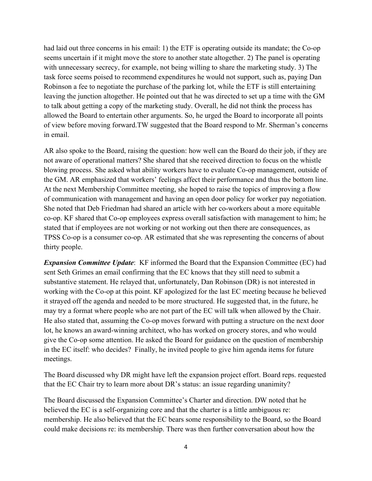had laid out three concerns in his email: 1) the ETF is operating outside its mandate; the Co-op seems uncertain if it might move the store to another state altogether. 2) The panel is operating with unnecessary secrecy, for example, not being willing to share the marketing study. 3) The task force seems poised to recommend expenditures he would not support, such as, paying Dan Robinson a fee to negotiate the purchase of the parking lot, while the ETF is still entertaining leaving the junction altogether. He pointed out that he was directed to set up a time with the GM to talk about getting a copy of the marketing study. Overall, he did not think the process has allowed the Board to entertain other arguments. So, he urged the Board to incorporate all points of view before moving forward.TW suggested that the Board respond to Mr. Sherman's concerns in email.

AR also spoke to the Board, raising the question: how well can the Board do their job, if they are not aware of operational matters? She shared that she received direction to focus on the whistle blowing process. She asked what ability workers have to evaluate Co-op management, outside of the GM. AR emphasized that workers' feelings affect their performance and thus the bottom line. At the next Membership Committee meeting, she hoped to raise the topics of improving a flow of communication with management and having an open door policy for worker pay negotiation. She noted that Deb Friedman had shared an article with her co-workers about a more equitable co-op. KF shared that Co-op employees express overall satisfaction with management to him; he stated that if employees are not working or not working out then there are consequences, as TPSS Co-op is a consumer co-op. AR estimated that she was representing the concerns of about thirty people.

*Expansion Committee Update*: KF informed the Board that the Expansion Committee (EC) had sent Seth Grimes an email confirming that the EC knows that they still need to submit a substantive statement. He relayed that, unfortunately, Dan Robinson (DR) is not interested in working with the Co-op at this point. KF apologized for the last EC meeting because he believed it strayed off the agenda and needed to be more structured. He suggested that, in the future, he may try a format where people who are not part of the EC will talk when allowed by the Chair. He also stated that, assuming the Co-op moves forward with putting a structure on the next door lot, he knows an award-winning architect, who has worked on grocery stores, and who would give the Co-op some attention. He asked the Board for guidance on the question of membership in the EC itself: who decides? Finally, he invited people to give him agenda items for future meetings.

The Board discussed why DR might have left the expansion project effort. Board reps. requested that the EC Chair try to learn more about DR's status: an issue regarding unanimity?

The Board discussed the Expansion Committee's Charter and direction. DW noted that he believed the EC is a self-organizing core and that the charter is a little ambiguous re: membership. He also believed that the EC bears some responsibility to the Board, so the Board could make decisions re: its membership. There was then further conversation about how the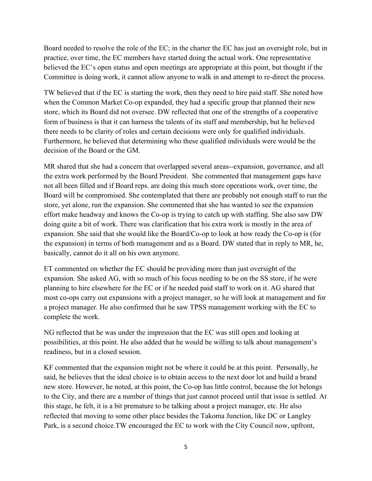Board needed to resolve the role of the EC; in the charter the EC has just an oversight role, but in practice, over time, the EC members have started doing the actual work. One representative believed the EC's open status and open meetings are appropriate at this point, but thought if the Committee is doing work, it cannot allow anyone to walk in and attempt to re-direct the process.

TW believed that if the EC is starting the work, then they need to hire paid staff. She noted how when the Common Market Co-op expanded, they had a specific group that planned their new store, which its Board did not oversee. DW reflected that one of the strengths of a cooperative form of business is that it can harness the talents of its staff and membership, but he believed there needs to be clarity of roles and certain decisions were only for qualified individuals. Furthermore, he believed that determining who these qualified individuals were would be the decision of the Board or the GM.

MR shared that she had a concern that overlapped several areas--expansion, governance, and all the extra work performed by the Board President. She commented that management gaps have not all been filled and if Board reps. are doing this much store operations work, over time, the Board will be compromised. She contemplated that there are probably not enough staff to run the store, yet alone, run the expansion. She commented that she has wanted to see the expansion effort make headway and knows the Co-op is trying to catch up with staffing. She also saw DW doing quite a bit of work. There was clarification that his extra work is mostly in the area of expansion. She said that she would like the Board/Co-op to look at how ready the Co-op is (for the expansion) in terms of both management and as a Board. DW stated that in reply to MR, he, basically, cannot do it all on his own anymore.

ET commented on whether the EC should be providing more than just oversight of the expansion. She asked AG, with so much of his focus needing to be on the SS store, if he were planning to hire elsewhere for the EC or if he needed paid staff to work on it. AG shared that most co-ops carry out expansions with a project manager, so he will look at management and for a project manager. He also confirmed that he saw TPSS management working with the EC to complete the work.

NG reflected that he was under the impression that the EC was still open and looking at possibilities, at this point. He also added that he would be willing to talk about management's readiness, but in a closed session.

KF commented that the expansion might not be where it could be at this point. Personally, he said, he believes that the ideal choice is to obtain access to the next door lot and build a brand new store. However, he noted, at this point, the Co-op has little control, because the lot belongs to the City, and there are a number of things that just cannot proceed until that issue is settled. At this stage, he felt, it is a bit premature to be talking about a project manager, etc. He also reflected that moving to some other place besides the Takoma Junction, like DC or Langley Park, is a second choice.TW encouraged the EC to work with the City Council now, upfront,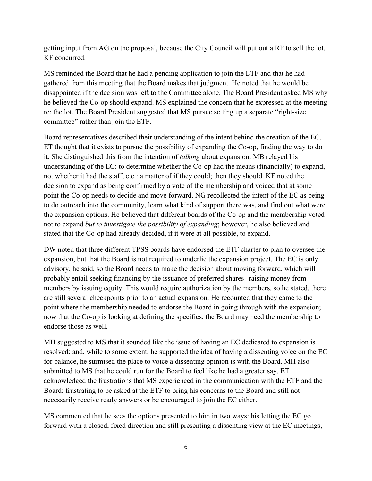getting input from AG on the proposal, because the City Council will put out a RP to sell the lot. KF concurred.

MS reminded the Board that he had a pending application to join the ETF and that he had gathered from this meeting that the Board makes that judgment. He noted that he would be disappointed if the decision was left to the Committee alone. The Board President asked MS why he believed the Co-op should expand. MS explained the concern that he expressed at the meeting re: the lot. The Board President suggested that MS pursue setting up a separate "right-size committee" rather than join the ETF.

Board representatives described their understanding of the intent behind the creation of the EC. ET thought that it exists to pursue the possibility of expanding the Co-op, finding the way to do it. She distinguished this from the intention of *talking* about expansion. MB relayed his understanding of the EC: to determine whether the Co-op had the means (financially) to expand, not whether it had the staff, etc.: a matter of if they could; then they should. KF noted the decision to expand as being confirmed by a vote of the membership and voiced that at some point the Co-op needs to decide and move forward. NG recollected the intent of the EC as being to do outreach into the community, learn what kind of support there was, and find out what were the expansion options. He believed that different boards of the Co-op and the membership voted not to expand *but to investigate the possibility of expanding*; however, he also believed and stated that the Co-op had already decided, if it were at all possible, to expand.

DW noted that three different TPSS boards have endorsed the ETF charter to plan to oversee the expansion, but that the Board is not required to underlie the expansion project. The EC is only advisory, he said, so the Board needs to make the decision about moving forward, which will probably entail seeking financing by the issuance of preferred shares--raising money from members by issuing equity. This would require authorization by the members, so he stated, there are still several checkpoints prior to an actual expansion. He recounted that they came to the point where the membership needed to endorse the Board in going through with the expansion; now that the Co-op is looking at defining the specifics, the Board may need the membership to endorse those as well.

MH suggested to MS that it sounded like the issue of having an EC dedicated to expansion is resolved; and, while to some extent, he supported the idea of having a dissenting voice on the EC for balance, he surmised the place to voice a dissenting opinion is with the Board. MH also submitted to MS that he could run for the Board to feel like he had a greater say. ET acknowledged the frustrations that MS experienced in the communication with the ETF and the Board: frustrating to be asked at the ETF to bring his concerns to the Board and still not necessarily receive ready answers or be encouraged to join the EC either.

MS commented that he sees the options presented to him in two ways: his letting the EC go forward with a closed, fixed direction and still presenting a dissenting view at the EC meetings,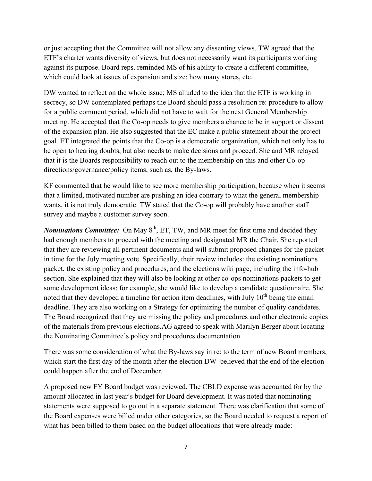or just accepting that the Committee will not allow any dissenting views. TW agreed that the ETF's charter wants diversity of views, but does not necessarily want its participants working against its purpose. Board reps. reminded MS of his ability to create a different committee, which could look at issues of expansion and size: how many stores, etc.

DW wanted to reflect on the whole issue; MS alluded to the idea that the ETF is working in secrecy, so DW contemplated perhaps the Board should pass a resolution re: procedure to allow for a public comment period, which did not have to wait for the next General Membership meeting. He accepted that the Co-op needs to give members a chance to be in support or dissent of the expansion plan. He also suggested that the EC make a public statement about the project goal. ET integrated the points that the Co-op is a democratic organization, which not only has to be open to hearing doubts, but also needs to make decisions and proceed. She and MR relayed that it is the Boards responsibility to reach out to the membership on this and other Co-op directions/governance/policy items, such as, the By-laws.

KF commented that he would like to see more membership participation, because when it seems that a limited, motivated number are pushing an idea contrary to what the general membership wants, it is not truly democratic. TW stated that the Co-op will probably have another staff survey and maybe a customer survey soon.

*Nominations Committee:* On May  $8<sup>th</sup>$ , ET, TW, and MR meet for first time and decided they had enough members to proceed with the meeting and designated MR the Chair. She reported that they are reviewing all pertinent documents and will submit proposed changes for the packet in time for the July meeting vote. Specifically, their review includes: the existing nominations packet, the existing policy and procedures, and the elections wiki page, including the info-hub section. She explained that they will also be looking at other co-ops nominations packets to get some development ideas; for example, she would like to develop a candidate questionnaire. She noted that they developed a timeline for action item deadlines, with July  $10<sup>th</sup>$  being the email deadline. They are also working on a Strategy for optimizing the number of quality candidates. The Board recognized that they are missing the policy and procedures and other electronic copies of the materials from previous elections.AG agreed to speak with Marilyn Berger about locating the Nominating Committee's policy and procedures documentation.

There was some consideration of what the By-laws say in re: to the term of new Board members, which start the first day of the month after the election DW believed that the end of the election could happen after the end of December.

A proposed new FY Board budget was reviewed. The CBLD expense was accounted for by the amount allocated in last year's budget for Board development. It was noted that nominating statements were supposed to go out in a separate statement. There was clarification that some of the Board expenses were billed under other categories, so the Board needed to request a report of what has been billed to them based on the budget allocations that were already made: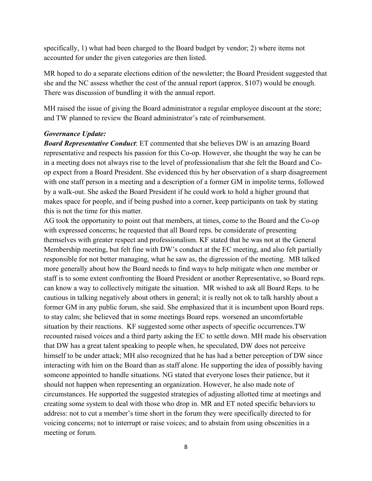specifically, 1) what had been charged to the Board budget by vendor; 2) where items not accounted for under the given categories are then listed.

MR hoped to do a separate elections edition of the newsletter; the Board President suggested that she and the NC assess whether the cost of the annual report (approx. \$107) would be enough. There was discussion of bundling it with the annual report.

MH raised the issue of giving the Board administrator a regular employee discount at the store; and TW planned to review the Board administrator's rate of reimbursement.

## *Governance Update:*

*Board Representative Conduct*: ET commented that she believes DW is an amazing Board representative and respects his passion for this Co-op. However, she thought the way he can be in a meeting does not always rise to the level of professionalism that she felt the Board and Coop expect from a Board President. She evidenced this by her observation of a sharp disagreement with one staff person in a meeting and a description of a former GM in impolite terms, followed by a walk-out. She asked the Board President if he could work to hold a higher ground that makes space for people, and if being pushed into a corner, keep participants on task by stating this is not the time for this matter.

AG took the opportunity to point out that members, at times, come to the Board and the Co-op with expressed concerns; he requested that all Board reps. be considerate of presenting themselves with greater respect and professionalism. KF stated that he was not at the General Membership meeting, but felt fine with DW's conduct at the EC meeting, and also felt partially responsible for not better managing, what he saw as, the digression of the meeting. MB talked more generally about how the Board needs to find ways to help mitigate when one member or staff is to some extent confronting the Board President or another Representative, so Board reps. can know a way to collectively mitigate the situation. MR wished to ask all Board Reps. to be cautious in talking negatively about others in general; it is really not ok to talk harshly about a former GM in any public forum, she said. She emphasized that it is incumbent upon Board reps. to stay calm; she believed that in some meetings Board reps. worsened an uncomfortable situation by their reactions. KF suggested some other aspects of specific occurrences.TW recounted raised voices and a third party asking the EC to settle down. MH made his observation that DW has a great talent speaking to people when, he speculated, DW does not perceive himself to be under attack; MH also recognized that he has had a better perception of DW since interacting with him on the Board than as staff alone. He supporting the idea of possibly having someone appointed to handle situations. NG stated that everyone loses their patience, but it should not happen when representing an organization. However, he also made note of circumstances. He supported the suggested strategies of adjusting allotted time at meetings and creating some system to deal with those who drop in. MR and ET noted specific behaviors to address: not to cut a member's time short in the forum they were specifically directed to for voicing concerns; not to interrupt or raise voices; and to abstain from using obscenities in a meeting or forum.